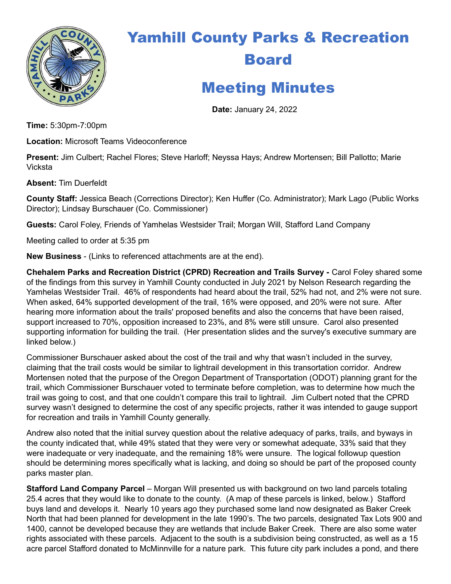

## Yamhill County Parks & Recreation Board

## Meeting Minutes

Date: January 24, 2022

Time: 5:30pm-7:00pm

Location: Microsoft Teams Videoconference

Present: Jim Culbert; Rachel Flores; Steve Harloff; Neyssa Hays; Andrew Mortensen; Bill Pallotto; Marie Vicksta

Absent: Tim Duerfeldt

County Staff: Jessica Beach (Corrections Director); Ken Huffer (Co. Administrator); Mark Lago (Public Works Director); Lindsay Burschauer (Co. Commissioner)

Guests: Carol Foley, Friends of Yamhelas Westsider Trail; Morgan Will, Stafford Land Company

Meeting called to order at 5:35 pm

New Business - (Links to referenced attachments are at the end).

Chehalem Parks and Recreation District (CPRD) Recreation and Trails Survey - Carol Foley shared some of the findings from this survey in Yamhill County conducted in July 2021 by Nelson Research regarding the Yamhelas Westsider Trail. 46% of respondents had heard about the trail, 52% had not, and 2% were not sure. When asked, 64% supported development of the trail, 16% were opposed, and 20% were not sure. After hearing more information about the trails' proposed benefits and also the concerns that have been raised, support increased to 70%, opposition increased to 23%, and 8% were still unsure. Carol also presented supporting information for building the trail. (Her presentation slides and the survey's executive summary are linked below.)

Commissioner Burschauer asked about the cost of the trail and why that wasn't included in the survey, claiming that the trail costs would be similar to lightrail development in this transortation corridor. Andrew Mortensen noted that the purpose of the Oregon Department of Transportation (ODOT) planning grant for the trail, which Commissioner Burschauer voted to terminate before completion, was to determine how much the trail was going to cost, and that one couldn't compare this trail to lightrail. Jim Culbert noted that the CPRD survey wasn't designed to determine the cost of any specific projects, rather it was intended to gauge support for recreation and trails in Yamhill County generally.

Andrew also noted that the initial survey question about the relative adequacy of parks, trails, and byways in the county indicated that, while 49% stated that they were very or somewhat adequate, 33% said that they were inadequate or very inadequate, and the remaining 18% were unsure. The logical followup question should be determining mores specifically what is lacking, and doing so should be part of the proposed county parks master plan.

Stafford Land Company Parcel – Morgan Will presented us with background on two land parcels totaling 25.4 acres that they would like to donate to the county. (A map of these parcels is linked, below.) Stafford buys land and develops it. Nearly 10 years ago they purchased some land now designated as Baker Creek North that had been planned for development in the late 1990's. The two parcels, designated Tax Lots 900 and 1400, cannot be developed because they are wetlands that include Baker Creek. There are also some water rights associated with these parcels. Adjacent to the south is a subdivision being constructed, as well as a 15 acre parcel Stafford donated to McMinnville for a nature park. This future city park includes a pond, and there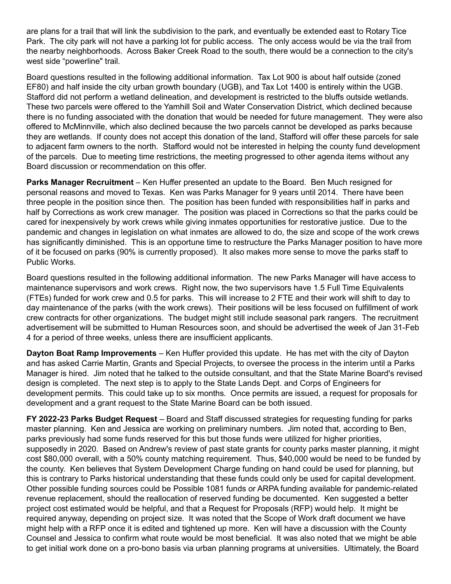are plans for a trail that will link the subdivision to the park, and eventually be extended east to Rotary Tice Park. The city park will not have a parking lot for public access. The only access would be via the trail from the nearby neighborhoods. Across Baker Creek Road to the south, there would be a connection to the city's west side "powerline" trail.

Board questions resulted in the following additional information. Tax Lot 900 is about half outside (zoned EF80) and half inside the city urban growth boundary (UGB), and Tax Lot 1400 is entirely within the UGB. Stafford did not perform a wetland delineation, and development is restricted to the bluffs outside wetlands. These two parcels were offered to the Yamhill Soil and Water Conservation District, which declined because there is no funding associated with the donation that would be needed for future management. They were also offered to McMinnville, which also declined because the two parcels cannot be developed as parks because they are wetlands. If county does not accept this donation of the land, Stafford will offer these parcels for sale to adjacent farm owners to the north. Stafford would not be interested in helping the county fund development of the parcels. Due to meeting time restrictions, the meeting progressed to other agenda items without any Board discussion or recommendation on this offer.

**Parks Manager Recruitment** – Ken Huffer presented an update to the Board. Ben Much resigned for personal reasons and moved to Texas. Ken was Parks Manager for 9 years until 2014. There have been three people in the position since then. The position has been funded with responsibilities half in parks and half by Corrections as work crew manager. The position was placed in Corrections so that the parks could be cared for inexpensively by work crews while giving inmates opportunities for restorative justice. Due to the pandemic and changes in legislation on what inmates are allowed to do, the size and scope of the work crews has significantly diminished. This is an opportune time to restructure the Parks Manager position to have more of it be focused on parks (90% is currently proposed). It also makes more sense to move the parks staff to Public Works.

Board questions resulted in the following additional information. The new Parks Manager will have access to maintenance supervisors and work crews. Right now, the two supervisors have 1.5 Full Time Equivalents (FTEs) funded for work crew and 0.5 for parks. This will increase to 2 FTE and their work will shift to day to day maintenance of the parks (with the work crews). Their positions will be less focused on fulfillment of work crew contracts for other organizations. The budget might still include seasonal park rangers. The recruitment advertisement will be submitted to Human Resources soon, and should be advertised the week of Jan 31-Feb 4 for a period of three weeks, unless there are insufficient applicants.

Dayton Boat Ramp Improvements – Ken Huffer provided this update. He has met with the city of Dayton and has asked Carrie Martin, Grants and Special Projects, to oversee the process in the interim until a Parks Manager is hired. Jim noted that he talked to the outside consultant, and that the State Marine Board's revised design is completed. The next step is to apply to the State Lands Dept. and Corps of Engineers for development permits. This could take up to six months. Once permits are issued, a request for proposals for development and a grant request to the State Marine Board can be both issued.

FY 2022-23 Parks Budget Request – Board and Staff discussed strategies for requesting funding for parks master planning. Ken and Jessica are working on preliminary numbers. Jim noted that, according to Ben, parks previously had some funds reserved for this but those funds were utilized for higher priorities, supposedly in 2020. Based on Andrew's review of past state grants for county parks master planning, it might cost \$80,000 overall, with a 50% county matching requirement. Thus, \$40,000 would be need to be funded by the county. Ken believes that System Development Charge funding on hand could be used for planning, but this is contrary to Parks historical understanding that these funds could only be used for capital development. Other possible funding sources could be Possible 1081 funds or ARPA funding available for pandemic-related revenue replacement, should the reallocation of reserved funding be documented. Ken suggested a better project cost estimated would be helpful, and that a Request for Proposals (RFP) would help. It might be required anyway, depending on project size. It was noted that the Scope of Work draft document we have might help with a RFP once it is edited and tightened up more. Ken will have a discussion with the County Counsel and Jessica to confirm what route would be most beneficial. It was also noted that we might be able to get initial work done on a pro-bono basis via urban planning programs at universities. Ultimately, the Board